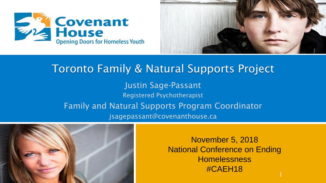



#### Toronto Family & Natural Supports Project Justin Sage-Passant Registered Psychotherapist Family and Natural Supports Program Coordinator jsagepassant@covenanthouse.ca



November 5, 2018 National Conference on Ending **Homelessness** #CAEH18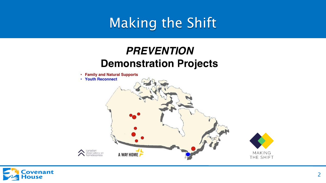# Making the Shift

#### **PREVENTION Demonstration Projects**



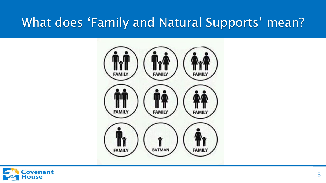#### What does 'Family and Natural Supports' mean?



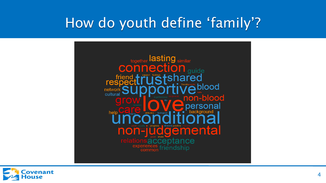## How do youth define 'family'?



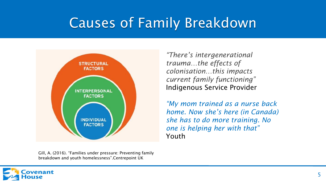# Causes of Family Breakdown



Gill, A. (2016). "Families under pressure: Preventing family breakdown and youth homelessness".Centrepoint UK

*"There's intergenerational trauma…the effects of colonisation…this impacts current family functioning"*  Indigenous Service Provider

*"My mom trained as a nurse back home. Now she's here (in Canada) she has to do more training. No one is helping her with that"*  Youth

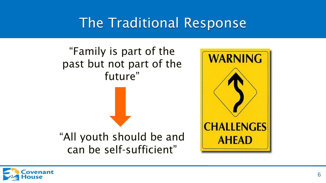## The Traditional Response



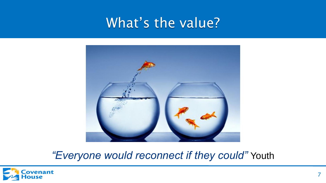#### What's the value?



*"Everyone would reconnect if they could"* Youth

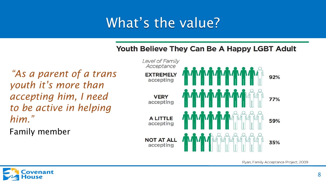# What's the value?

#### Youth Believe They Can Be A Happy LGBT Adult

*"As a parent of a trans youth it's more than accepting him, I need to be active in helping him."* 

Family member



Ryan, Family Acceptance Project, 2009

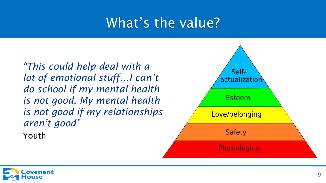## What's the value?

*"This could help deal with a lot of emotional stuff…I can't do school if my mental health is not good. My mental health is not good if my relationships aren't good"* Youth

Selfactualization Esteem Love/belonging **Safety Physiological** 

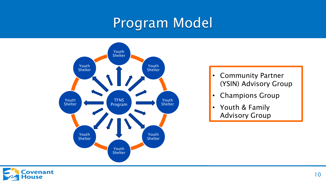# Program Model



- Community Partner (YSIN) Advisory Group
- Champions Group
- Youth & Family Advisory Group

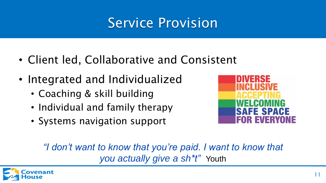# Service Provision

- Client led, Collaborative and Consistent
- Integrated and Individualized
	- Coaching & skill building
	- Individual and family therapy
	- Systems navigation support



*"I don't want to know that you're paid. I want to know that you actually give a sh\*t"* Youth

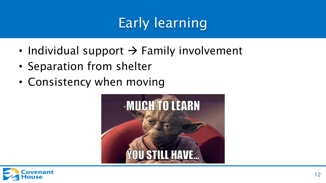# Early learning

- Individual support  $\rightarrow$  Family involvement
- Separation from shelter
- Consistency when moving